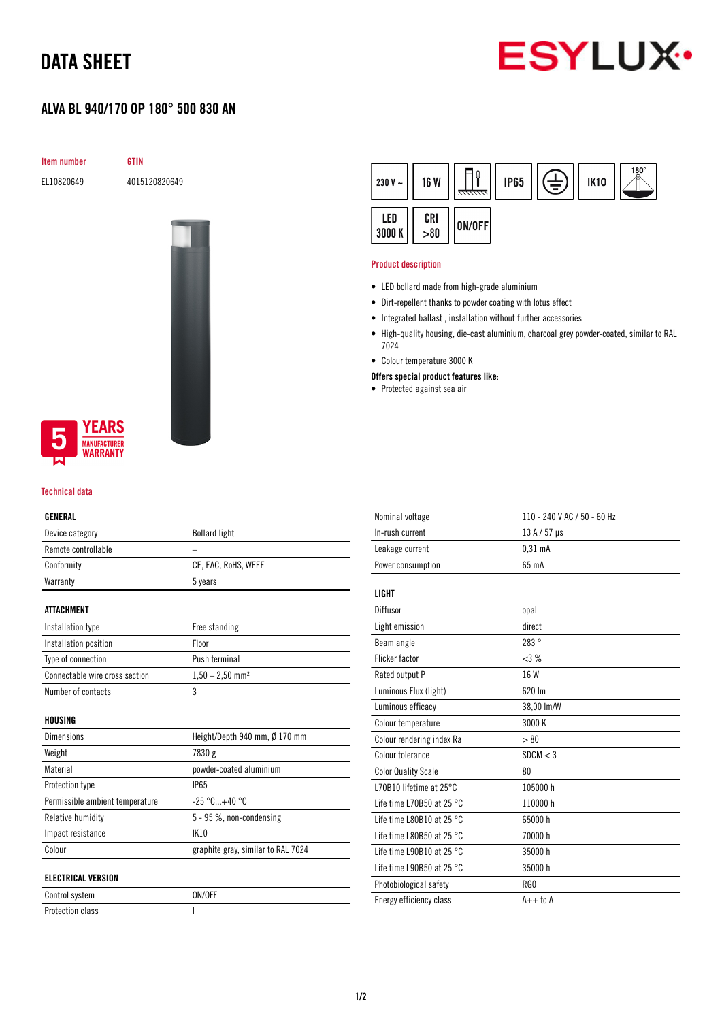# DATA SHEET



## ALVA BL 940/170 OP 180° 500 830 AN



EL10820649 4015120820649



### **YEARS NUFACTURER** WARRANTY

#### Technical data

### GENERAL

| Device category                 | <b>Bollard light</b>               |  |
|---------------------------------|------------------------------------|--|
| Remote controllable             |                                    |  |
| Conformity                      | CE, EAC, RoHS, WEEE                |  |
| Warranty                        | 5 years                            |  |
| <b>ATTACHMENT</b>               |                                    |  |
| Installation type               | Free standing                      |  |
| Installation position           | Floor                              |  |
| Type of connection              | Push terminal                      |  |
| Connectable wire cross section  | $1,50 - 2,50$ mm <sup>2</sup>      |  |
| Number of contacts              | 3                                  |  |
| HOUSING                         |                                    |  |
| Dimensions                      | Height/Depth 940 mm, Ø 170 mm      |  |
| Weight                          | 7830 g                             |  |
| Material                        | powder-coated aluminium            |  |
| Protection type                 | <b>IP65</b>                        |  |
| Permissible ambient temperature | $-25 °C+40 °C$                     |  |
| Relative humidity               | 5 - 95 %, non-condensing           |  |
| Impact resistance               | <b>IK10</b>                        |  |
| Colour                          | graphite gray, similar to RAL 7024 |  |
| <b>ELECTRICAL VERSION</b>       |                                    |  |
| Control system                  | ON/OFF                             |  |

Protection class I

| 230 V $\sim$ | <b>16 W</b> | <del>mm.</del> | <b>IP65</b> | È | <b>IK10</b> | $^{180^{\circ}}$ |
|--------------|-------------|----------------|-------------|---|-------------|------------------|
| LED<br>3000K | CRI > 80    | ON/OFF         |             |   |             |                  |

#### Product description

- LED bollard made from high-grade aluminium
- Dirt-repellent thanks to powder coating with lotus effect
- Integrated ballast , installation without further accessories
- High-quality housing, die-cast aluminium, charcoal grey powder-coated, similar to RAL 7024
- Colour temperature 3000 K
- Offers special product features like:
- Protected against sea air

| Nominal voltage                     | 110 - 240 V AC / 50 - 60 Hz |
|-------------------------------------|-----------------------------|
| In-rush current                     | 13 A / 57 µs                |
| Leakage current                     | 0.31 <sub>m</sub> A         |
| Power consumption                   | 65 mA                       |
|                                     |                             |
| <b>LIGHT</b>                        |                             |
| Diffusor                            | opal                        |
| Light emission                      | direct                      |
| Beam angle                          | 283°                        |
| <b>Flicker factor</b>               | $<3\%$                      |
| Rated output P                      | 16 W                        |
| Luminous Flux (light)               | 620 Im                      |
| Luminous efficacy                   | 38,00 lm/W                  |
| Colour temperature                  | 3000 K                      |
| Colour rendering index Ra           | > 80                        |
| Colour tolerance                    | SDCM < 3                    |
| <b>Color Quality Scale</b>          | 80                          |
| L70B10 lifetime at 25°C             | 105000h                     |
| Life time L70B50 at 25 °C           | 110000 h                    |
| Life time L80B10 at 25 $^{\circ}$ C | 65000 h                     |
| Life time L80B50 at 25 $^{\circ}$ C | 70000 h                     |
| Life time L90B10 at 25 $^{\circ}$ C | 35000 h                     |
| Life time L90B50 at 25 $^{\circ}$ C | 35000h                      |
| Photobiological safety              | RG0                         |
| Energy efficiency class             | $A++$ to $A$                |
|                                     |                             |